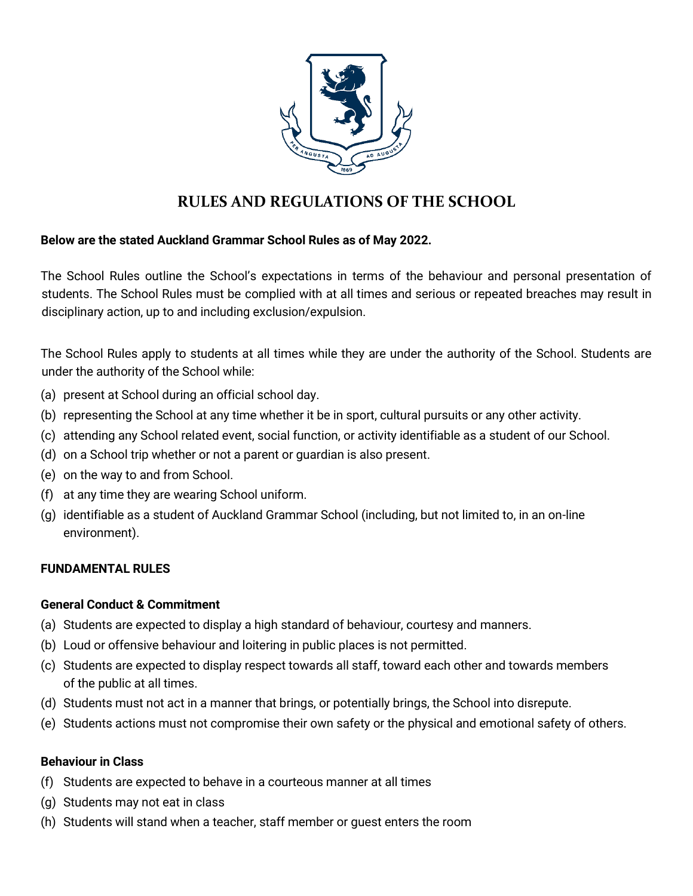

# **RULES AND REGULATIONS OF THE SCHOOL**

### **Below are the stated Auckland Grammar School Rules as of May 2022.**

The School Rules outline the School's expectations in terms of the behaviour and personal presentation of students. The School Rules must be complied with at all times and serious or repeated breaches may result in disciplinary action, up to and including exclusion/expulsion.

The School Rules apply to students at all times while they are under the authority of the School. Students are under the authority of the School while:

- (a) present at School during an official school day.
- (b) representing the School at any time whether it be in sport, cultural pursuits or any other activity.
- (c) attending any School related event, social function, or activity identifiable as a student of our School.
- (d) on a School trip whether or not a parent or guardian is also present.
- (e) on the way to and from School.
- (f) at any time they are wearing School uniform.
- (g) identifiable as a student of Auckland Grammar School (including, but not limited to, in an on-line environment).

#### **FUNDAMENTAL RULES**

#### **General Conduct & Commitment**

- (a) Students are expected to display a high standard of behaviour, courtesy and manners.
- (b) Loud or offensive behaviour and loitering in public places is not permitted.
- (c) Students are expected to display respect towards all staff, toward each other and towards members of the public at all times.
- (d) Students must not act in a manner that brings, or potentially brings, the School into disrepute.
- (e) Students actions must not compromise their own safety or the physical and emotional safety of others.

#### **Behaviour in Class**

- (f) Students are expected to behave in a courteous manner at all times
- (g) Students may not eat in class
- (h) Students will stand when a teacher, staff member or guest enters the room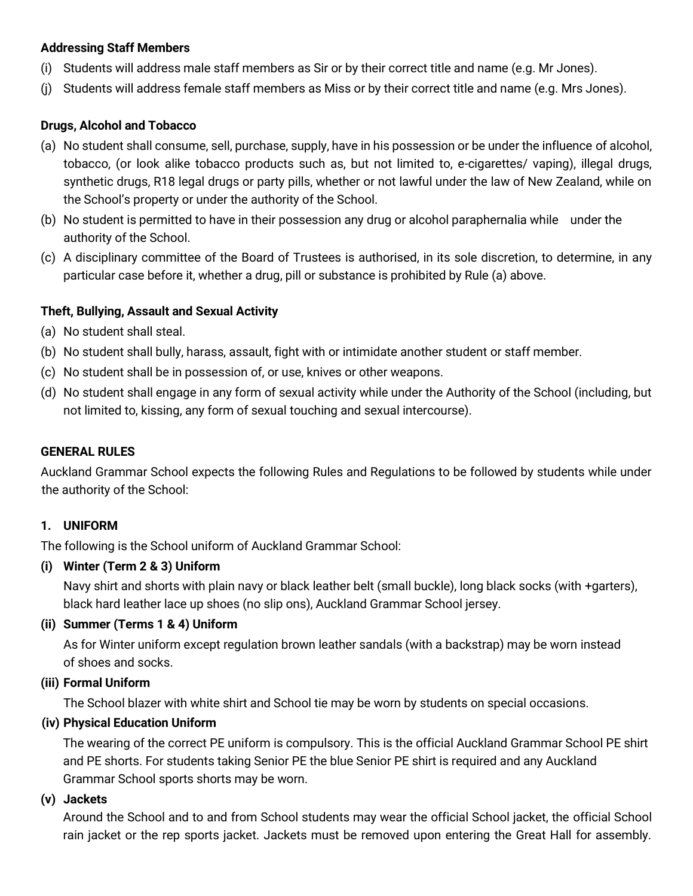#### **Addressing Staff Members**

- (i) Students will address male staff members as Sir or by their correct title and name (e.g. Mr Jones).
- (j) Students will address female staff members as Miss or by their correct title and name (e.g. Mrs Jones).

#### **Drugs, Alcohol and Tobacco**

- (a) No student shall consume, sell, purchase, supply, have in his possession or be under the influence of alcohol, tobacco, (or look alike tobacco products such as, but not limited to, e-cigarettes/ vaping), illegal drugs, synthetic drugs, R18 legal drugs or party pills, whether or not lawful under the law of New Zealand, while on the School's property or under the authority of the School.
- (b) No student is permitted to have in their possession any drug or alcohol paraphernalia while under the authority of the School.
- (c) A disciplinary committee of the Board of Trustees is authorised, in its sole discretion, to determine, in any particular case before it, whether a drug, pill or substance is prohibited by Rule (a) above.

#### **Theft, Bullying, Assault and Sexual Activity**

- (a) No student shall steal.
- (b) No student shall bully, harass, assault, fight with or intimidate another student or staff member.
- (c) No student shall be in possession of, or use, knives or other weapons.
- (d) No student shall engage in any form of sexual activity while under the Authority of the School (including, but not limited to, kissing, any form of sexual touching and sexual intercourse).

#### **GENERAL RULES**

Auckland Grammar School expects the following Rules and Regulations to be followed by students while under the authority of the School:

#### **1. UNIFORM**

The following is the School uniform of Auckland Grammar School:

#### **(i) Winter (Term 2 & 3) Uniform**

Navy shirt and shorts with plain navy or black leather belt (small buckle), long black socks (with +garters), black hard leather lace up shoes (no slip ons), Auckland Grammar School jersey.

#### **(ii) Summer (Terms 1 & 4) Uniform**

As for Winter uniform except regulation brown leather sandals (with a backstrap) may be worn instead of shoes and socks.

#### **(iii) Formal Uniform**

The School blazer with white shirt and School tie may be worn by students on special occasions.

#### **(iv) Physical Education Uniform**

The wearing of the correct PE uniform is compulsory. This is the official Auckland Grammar School PE shirt and PE shorts. For students taking Senior PE the blue Senior PE shirt is required and any Auckland Grammar School sports shorts may be worn.

#### **(v) Jackets**

Around the School and to and from School students may wear the official School jacket, the official School rain jacket or the rep sports jacket. Jackets must be removed upon entering the Great Hall for assembly.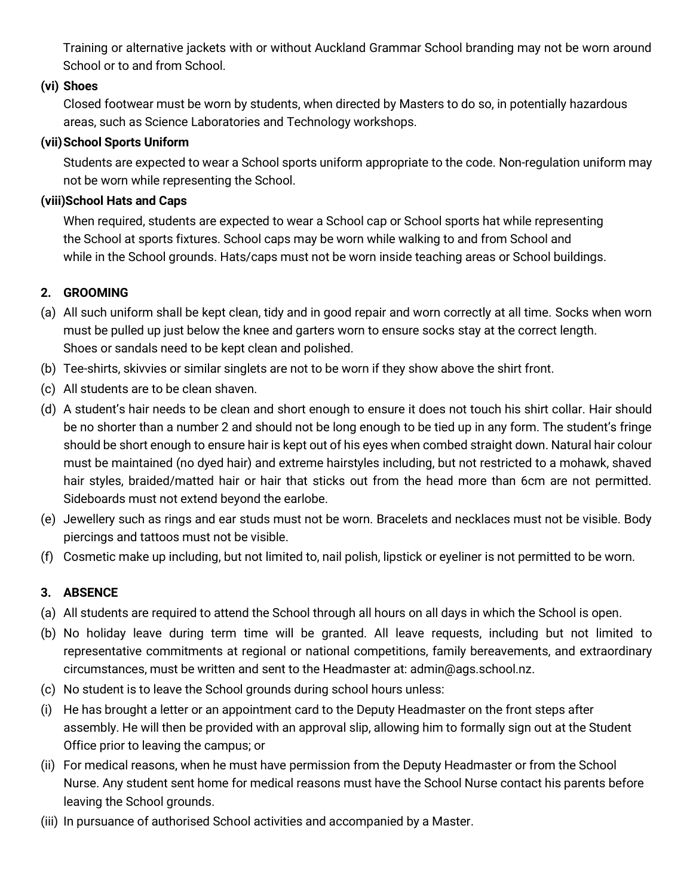Training or alternative jackets with or without Auckland Grammar School branding may not be worn around School or to and from School.

### **(vi) Shoes**

Closed footwear must be worn by students, when directed by Masters to do so, in potentially hazardous areas, such as Science Laboratories and Technology workshops.

### **(vii)School Sports Uniform**

Students are expected to wear a School sports uniform appropriate to the code. Non-regulation uniform may not be worn while representing the School.

### **(viii)School Hats and Caps**

When required, students are expected to wear a School cap or School sports hat while representing the School at sports fixtures. School caps may be worn while walking to and from School and while in the School grounds. Hats/caps must not be worn inside teaching areas or School buildings.

### **2. GROOMING**

- (a) All such uniform shall be kept clean, tidy and in good repair and worn correctly at all time. Socks when worn must be pulled up just below the knee and garters worn to ensure socks stay at the correct length. Shoes or sandals need to be kept clean and polished.
- (b) Tee-shirts, skivvies or similar singlets are not to be worn if they show above the shirt front.
- (c) All students are to be clean shaven.
- (d) A student's hair needs to be clean and short enough to ensure it does not touch his shirt collar. Hair should be no shorter than a number 2 and should not be long enough to be tied up in any form. The student's fringe should be short enough to ensure hair is kept out of his eyes when combed straight down. Natural hair colour must be maintained (no dyed hair) and extreme hairstyles including, but not restricted to a mohawk, shaved hair styles, braided/matted hair or hair that sticks out from the head more than 6cm are not permitted. Sideboards must not extend beyond the earlobe.
- (e) Jewellery such as rings and ear studs must not be worn. Bracelets and necklaces must not be visible. Body piercings and tattoos must not be visible.
- (f) Cosmetic make up including, but not limited to, nail polish, lipstick or eyeliner is not permitted to be worn.

### **3. ABSENCE**

- (a) All students are required to attend the School through all hours on all days in which the School is open.
- (b) No holiday leave during term time will be granted. All leave requests, including but not limited to representative commitments at regional or national competitions, family bereavements, and extraordinary circumstances, must be written and sent to the Headmaster at: admin@ags.school.nz.
- (c) No student is to leave the School grounds during school hours unless:
- (i) He has brought a letter or an appointment card to the Deputy Headmaster on the front steps after assembly. He will then be provided with an approval slip, allowing him to formally sign out at the Student Office prior to leaving the campus; or
- (ii) For medical reasons, when he must have permission from the Deputy Headmaster or from the School Nurse. Any student sent home for medical reasons must have the School Nurse contact his parents before leaving the School grounds.
- (iii) In pursuance of authorised School activities and accompanied by a Master.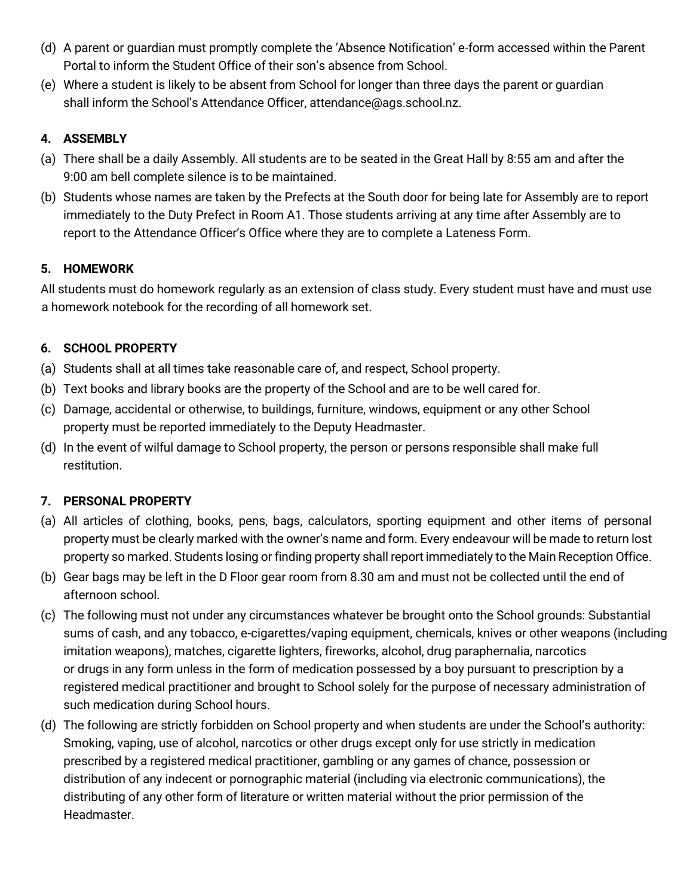- (d) A parent or guardian must promptly complete the 'Absence Notification' e-form accessed within the Parent Portal to inform the Student Office of their son's absence from School.
- (e) Where a student is likely to be absent from School for longer than three days the parent or guardian shall inform the School's Attendance Officer, attendance@ags.school.nz.

# **4. ASSEMBLY**

- (a) There shall be a daily Assembly. All students are to be seated in the Great Hall by 8:55 am and after the 9:00 am bell complete silence is to be maintained.
- (b) Students whose names are taken by the Prefects at the South door for being late for Assembly are to report immediately to the Duty Prefect in Room A1. Those students arriving at any time after Assembly are to report to the Attendance Officer's Office where they are to complete a Lateness Form.

# **5. HOMEWORK**

All students must do homework regularly as an extension of class study. Every student must have and must use a homework notebook for the recording of all homework set.

# **6. SCHOOL PROPERTY**

- (a) Students shall at all times take reasonable care of, and respect, School property.
- (b) Text books and library books are the property of the School and are to be well cared for.
- (c) Damage, accidental or otherwise, to buildings, furniture, windows, equipment or any other School property must be reported immediately to the Deputy Headmaster.
- (d) In the event of wilful damage to School property, the person or persons responsible shall make full restitution.

# **7. PERSONAL PROPERTY**

- (a) All articles of clothing, books, pens, bags, calculators, sporting equipment and other items of personal property must be clearly marked with the owner's name and form. Every endeavour will be made to return lost property so marked. Students losing or finding property shall report immediately to the Main Reception Office.
- (b) Gear bags may be left in the D Floor gear room from 8.30 am and must not be collected until the end of afternoon school.
- (c) The following must not under any circumstances whatever be brought onto the School grounds: Substantial sums of cash, and any tobacco, e-cigarettes/vaping equipment, chemicals, knives or other weapons (including imitation weapons), matches, cigarette lighters, fireworks, alcohol, drug paraphernalia, narcotics or drugs in any form unless in the form of medication possessed by a boy pursuant to prescription by a registered medical practitioner and brought to School solely for the purpose of necessary administration of such medication during School hours.
- (d) The following are strictly forbidden on School property and when students are under the School's authority: Smoking, vaping, use of alcohol, narcotics or other drugs except only for use strictly in medication prescribed by a registered medical practitioner, gambling or any games of chance, possession or distribution of any indecent or pornographic material (including via electronic communications), the distributing of any other form of literature or written material without the prior permission of the Headmaster.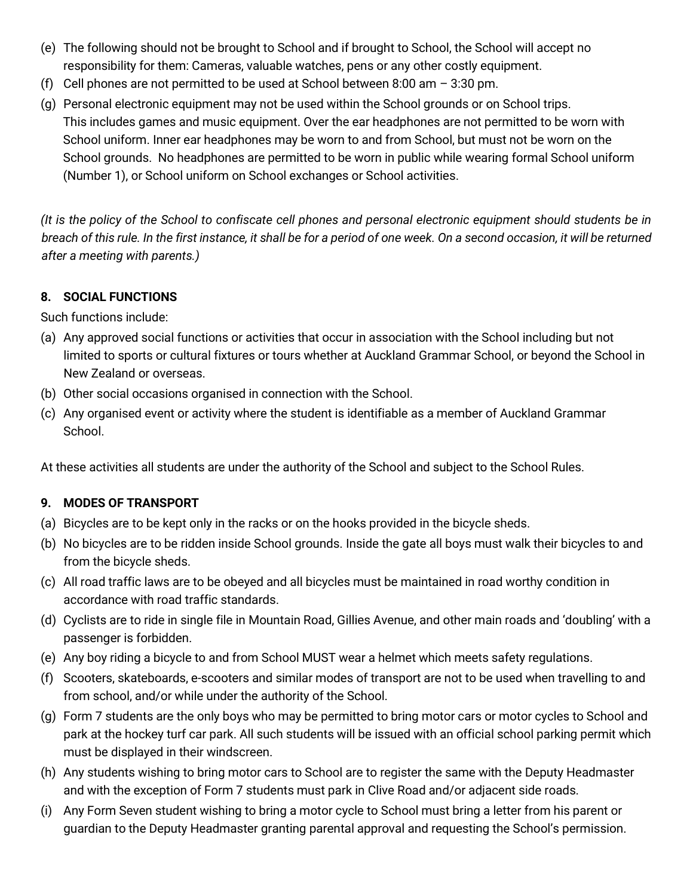- (e) The following should not be brought to School and if brought to School, the School will accept no responsibility for them: Cameras, valuable watches, pens or any other costly equipment.
- (f) Cell phones are not permitted to be used at School between 8:00 am  $-$  3:30 pm.
- (g) Personal electronic equipment may not be used within the School grounds or on School trips. This includes games and music equipment. Over the ear headphones are not permitted to be worn with School uniform. Inner ear headphones may be worn to and from School, but must not be worn on the School grounds. No headphones are permitted to be worn in public while wearing formal School uniform (Number 1), or School uniform on School exchanges or School activities.

*(It is the policy of the School to confiscate cell phones and personal electronic equipment should students be in breach of this rule. In the first instance, it shall be for a period of one week. On a second occasion, it will be returned after a meeting with parents.)*

### **8. SOCIAL FUNCTIONS**

Such functions include:

- (a) Any approved social functions or activities that occur in association with the School including but not limited to sports or cultural fixtures or tours whether at Auckland Grammar School, or beyond the School in New Zealand or overseas.
- (b) Other social occasions organised in connection with the School.
- (c) Any organised event or activity where the student is identifiable as a member of Auckland Grammar School.

At these activities all students are under the authority of the School and subject to the School Rules.

### **9. MODES OF TRANSPORT**

- (a) Bicycles are to be kept only in the racks or on the hooks provided in the bicycle sheds.
- (b) No bicycles are to be ridden inside School grounds. Inside the gate all boys must walk their bicycles to and from the bicycle sheds.
- (c) All road traffic laws are to be obeyed and all bicycles must be maintained in road worthy condition in accordance with road traffic standards.
- (d) Cyclists are to ride in single file in Mountain Road, Gillies Avenue, and other main roads and 'doubling' with a passenger is forbidden.
- (e) Any boy riding a bicycle to and from School MUST wear a helmet which meets safety regulations.
- (f) Scooters, skateboards, e-scooters and similar modes of transport are not to be used when travelling to and from school, and/or while under the authority of the School.
- (g) Form 7 students are the only boys who may be permitted to bring motor cars or motor cycles to School and park at the hockey turf car park. All such students will be issued with an official school parking permit which must be displayed in their windscreen.
- (h) Any students wishing to bring motor cars to School are to register the same with the Deputy Headmaster and with the exception of Form 7 students must park in Clive Road and/or adjacent side roads.
- (i) Any Form Seven student wishing to bring a motor cycle to School must bring a letter from his parent or guardian to the Deputy Headmaster granting parental approval and requesting the School's permission.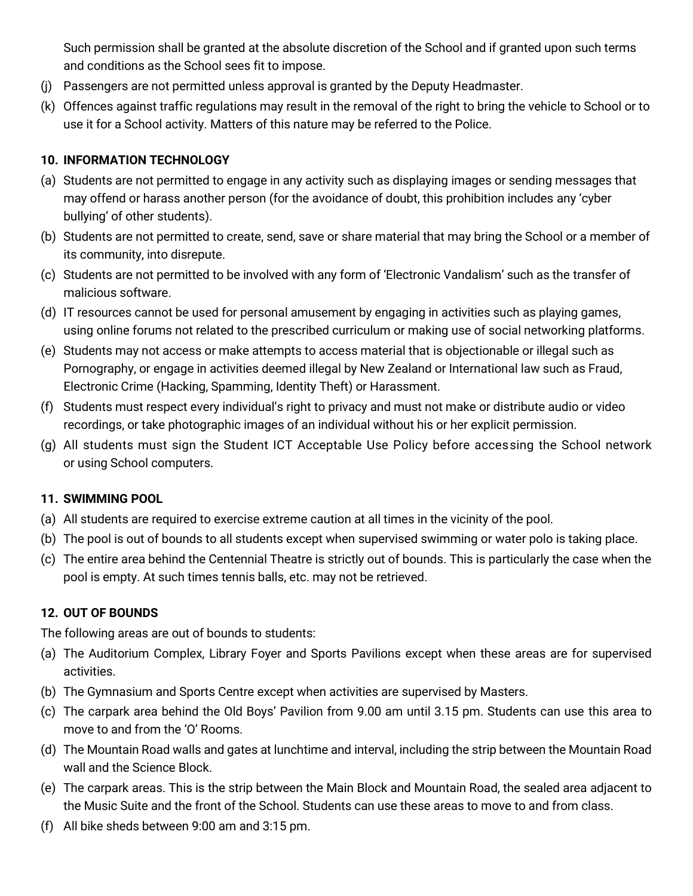Such permission shall be granted at the absolute discretion of the School and if granted upon such terms and conditions as the School sees fit to impose.

- (j) Passengers are not permitted unless approval is granted by the Deputy Headmaster.
- (k) Offences against traffic regulations may result in the removal of the right to bring the vehicle to School or to use it for a School activity. Matters of this nature may be referred to the Police.

#### **10. INFORMATION TECHNOLOGY**

- (a) Students are not permitted to engage in any activity such as displaying images or sending messages that may offend or harass another person (for the avoidance of doubt, this prohibition includes any 'cyber bullying' of other students).
- (b) Students are not permitted to create, send, save or share material that may bring the School or a member of its community, into disrepute.
- (c) Students are not permitted to be involved with any form of 'Electronic Vandalism' such as the transfer of malicious software.
- (d) IT resources cannot be used for personal amusement by engaging in activities such as playing games, using online forums not related to the prescribed curriculum or making use of social networking platforms.
- (e) Students may not access or make attempts to access material that is objectionable or illegal such as Pornography, or engage in activities deemed illegal by New Zealand or International law such as Fraud, Electronic Crime (Hacking, Spamming, Identity Theft) or Harassment.
- (f) Students must respect every individual's right to privacy and must not make or distribute audio or video recordings, or take photographic images of an individual without his or her explicit permission.
- (g) All students must sign the Student ICT Acceptable Use Policy before accessing the School network or using School computers.

#### **11. SWIMMING POOL**

- (a) All students are required to exercise extreme caution at all times in the vicinity of the pool.
- (b) The pool is out of bounds to all students except when supervised swimming or water polo is taking place.
- (c) The entire area behind the Centennial Theatre is strictly out of bounds. This is particularly the case when the pool is empty. At such times tennis balls, etc. may not be retrieved.

#### **12. OUT OF BOUNDS**

The following areas are out of bounds to students:

- (a) The Auditorium Complex, Library Foyer and Sports Pavilions except when these areas are for supervised activities.
- (b) The Gymnasium and Sports Centre except when activities are supervised by Masters.
- (c) The carpark area behind the Old Boys' Pavilion from 9.00 am until 3.15 pm. Students can use this area to move to and from the 'O' Rooms.
- (d) The Mountain Road walls and gates at lunchtime and interval, including the strip between the Mountain Road wall and the Science Block.
- (e) The carpark areas. This is the strip between the Main Block and Mountain Road, the sealed area adjacent to the Music Suite and the front of the School. Students can use these areas to move to and from class.
- (f) All bike sheds between 9:00 am and 3:15 pm.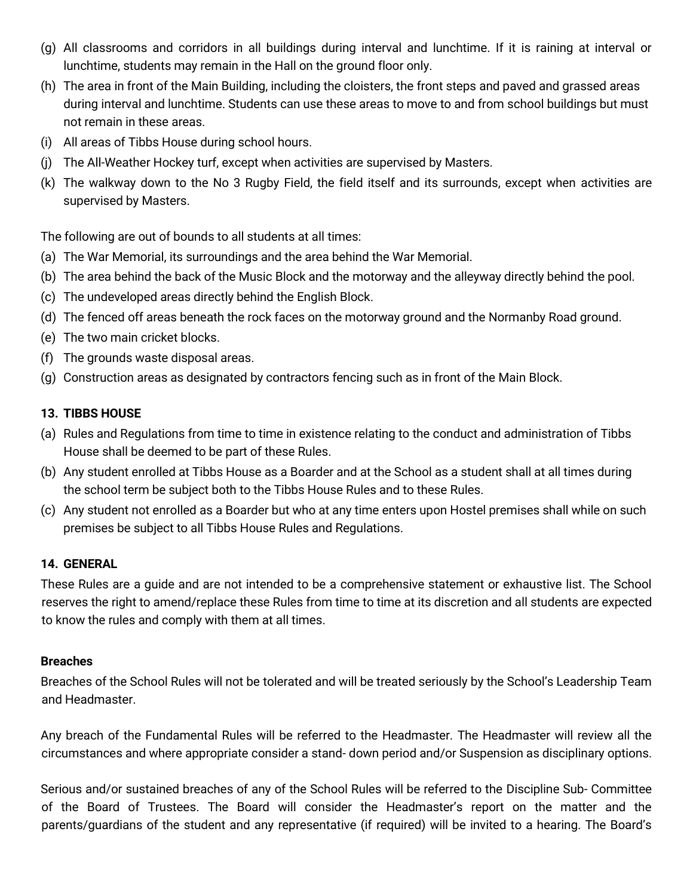- (g) All classrooms and corridors in all buildings during interval and lunchtime. If it is raining at interval or lunchtime, students may remain in the Hall on the ground floor only.
- (h) The area in front of the Main Building, including the cloisters, the front steps and paved and grassed areas during interval and lunchtime. Students can use these areas to move to and from school buildings but must not remain in these areas.
- (i) All areas of Tibbs House during school hours.
- (j) The All-Weather Hockey turf, except when activities are supervised by Masters.
- (k) The walkway down to the No 3 Rugby Field, the field itself and its surrounds, except when activities are supervised by Masters.

The following are out of bounds to all students at all times:

- (a) The War Memorial, its surroundings and the area behind the War Memorial.
- (b) The area behind the back of the Music Block and the motorway and the alleyway directly behind the pool.
- (c) The undeveloped areas directly behind the English Block.
- (d) The fenced off areas beneath the rock faces on the motorway ground and the Normanby Road ground.
- (e) The two main cricket blocks.
- (f) The grounds waste disposal areas.
- (g) Construction areas as designated by contractors fencing such as in front of the Main Block.

# **13. TIBBS HOUSE**

- (a) Rules and Regulations from time to time in existence relating to the conduct and administration of Tibbs House shall be deemed to be part of these Rules.
- (b) Any student enrolled at Tibbs House as a Boarder and at the School as a student shall at all times during the school term be subject both to the Tibbs House Rules and to these Rules.
- (c) Any student not enrolled as a Boarder but who at any time enters upon Hostel premises shall while on such premises be subject to all Tibbs House Rules and Regulations.

### **14. GENERAL**

These Rules are a guide and are not intended to be a comprehensive statement or exhaustive list. The School reserves the right to amend/replace these Rules from time to time at its discretion and all students are expected to know the rules and comply with them at all times.

### **Breaches**

Breaches of the School Rules will not be tolerated and will be treated seriously by the School's Leadership Team and Headmaster.

Any breach of the Fundamental Rules will be referred to the Headmaster. The Headmaster will review all the circumstances and where appropriate consider a stand- down period and/or Suspension as disciplinary options.

Serious and/or sustained breaches of any of the School Rules will be referred to the Discipline Sub- Committee of the Board of Trustees. The Board will consider the Headmaster's report on the matter and the parents/guardians of the student and any representative (if required) will be invited to a hearing. The Board's